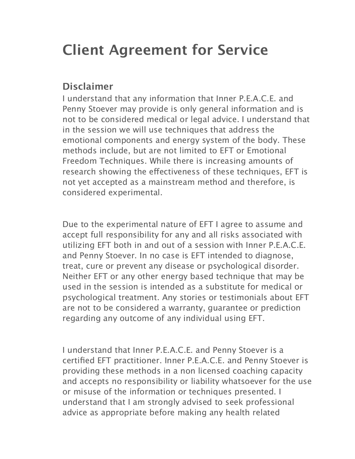# **Client Agreement for Service**

### **Disclaimer**

I understand that any information that Inner P.E.A.C.E. and Penny Stoever may provide is only general information and is not to be considered medical or legal advice. I understand that in the session we will use techniques that address the emotional components and energy system of the body. These methods include, but are not limited to EFT or Emotional Freedom Techniques. While there is increasing amounts of research showing the effectiveness of these techniques, EFT is not yet accepted as a mainstream method and therefore, is considered experimental.

Due to the experimental nature of EFT I agree to assume and accept full responsibility for any and all risks associated with utilizing EFT both in and out of a session with Inner P.E.A.C.E. and Penny Stoever. In no case is EFT intended to diagnose, treat, cure or prevent any disease or psychological disorder. Neither EFT or any other energy based technique that may be used in the session is intended as a substitute for medical or psychological treatment. Any stories or testimonials about EFT are not to be considered a warranty, guarantee or prediction regarding any outcome of any individual using EFT.

I understand that Inner P.E.A.C.E. and Penny Stoever is a certified EFT practitioner. Inner P.E.A.C.E. and Penny Stoever is providing these methods in a non licensed coaching capacity and accepts no responsibility or liability whatsoever for the use or misuse of the information or techniques presented. I understand that I am strongly advised to seek professional advice as appropriate before making any health related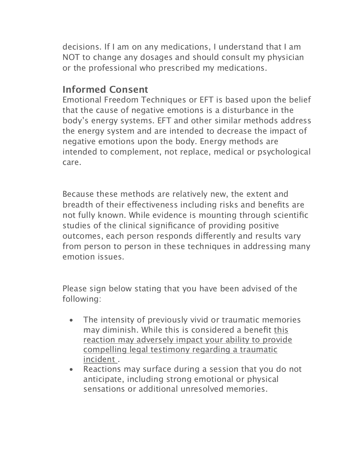decisions. If I am on any medications, I understand that I am NOT to change any dosages and should consult my physician or the professional who prescribed my medications.

### **Informed Consent**

Emotional Freedom Techniques or EFT is based upon the belief that the cause of negative emotions is a disturbance in the body's energy systems. EFT and other similar methods address the energy system and are intended to decrease the impact of negative emotions upon the body. Energy methods are intended to complement, not replace, medical or psychological care.

Because these methods are relatively new, the extent and breadth of their efectiveness including risks and benefits are not fully known. While evidence is mounting through scientific studies of the clinical significance of providing positive outcomes, each person responds diferently and results vary from person to person in these techniques in addressing many emotion issues.

Please sign below stating that you have been advised of the following:

- The intensity of previously vivid or traumatic memories may diminish. While this is considered a benefit this reaction may adversely impact your ability to provide compelling legal testimony regarding a traumatic incident .
- Reactions may surface during a session that you do not anticipate, including strong emotional or physical sensations or additional unresolved memories.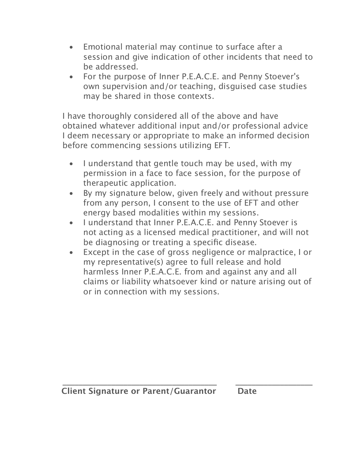- Emotional material may continue to surface after a session and give indication of other incidents that need to be addressed.
- For the purpose of Inner P.E.A.C.E. and Penny Stoever's own supervision and/or teaching, disguised case studies may be shared in those contexts.

I have thoroughly considered all of the above and have obtained whatever additional input and/or professional advice I deem necessary or appropriate to make an informed decision before commencing sessions utilizing EFT.

- I understand that gentle touch may be used, with my permission in a face to face session, for the purpose of therapeutic application.
- By my signature below, given freely and without pressure from any person, I consent to the use of EFT and other energy based modalities within my sessions.
- I understand that Inner P.E.A.C.E. and Penny Stoever is not acting as a licensed medical practitioner, and will not be diagnosing or treating a specific disease.
- Except in the case of gross negligence or malpractice, I or my representative(s) agree to full release and hold harmless Inner P.E.A.C.E. from and against any and all claims or liability whatsoever kind or nature arising out of or in connection with my sessions.

**\_\_\_\_\_\_\_\_\_\_\_\_\_\_\_\_\_\_\_\_\_\_\_\_\_\_\_\_\_\_\_\_\_\_\_\_\_\_ \_\_\_\_\_\_\_\_\_\_\_\_\_\_\_\_\_\_\_**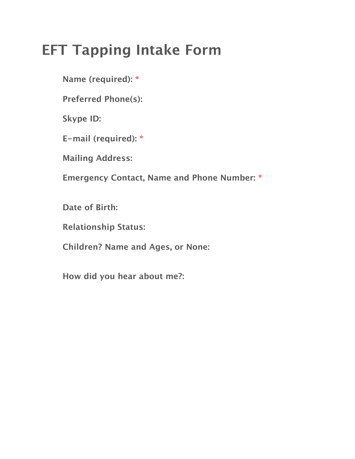# **EFT Tapping Intake Form**

**Name (required): \***

**Preferred Phone(s):**

**Skype ID:**

**E-mail (required): \***

**Mailing Address:**

**Emergency Contact, Name and Phone Number: \***

**Date of Birth:**

**Relationship Status:**

**Children? Name and Ages, or None:**

**How did you hear about me?:**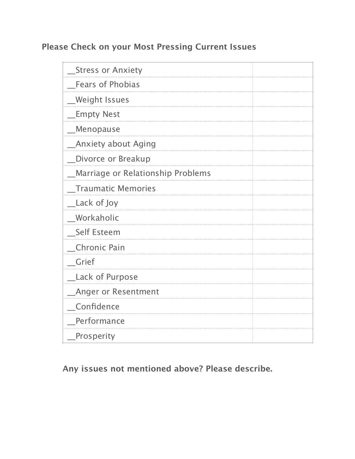### **Please Check on your Most Pressing Current Issues**

| <b>Stress or Anxiety</b>          |  |
|-----------------------------------|--|
| <b>Fears of Phobias</b>           |  |
| Weight Issues_                    |  |
| <b>Empty Nest</b>                 |  |
| Menopause                         |  |
| <b>Anxiety about Aging</b>        |  |
| Divorce or Breakup                |  |
| Marriage or Relationship Problems |  |
| <b>Traumatic Memories</b>         |  |
| _Lack of Joy                      |  |
| <b>Workaholic</b>                 |  |
| _Self Esteem                      |  |
| <b>Chronic Pain</b>               |  |
| Grief                             |  |
| <b>Lack of Purpose</b>            |  |
| <b>Anger or Resentment</b>        |  |
| _Confidence                       |  |
| Performance                       |  |
| Prosperity                        |  |

**Any issues not mentioned above? Please describe.**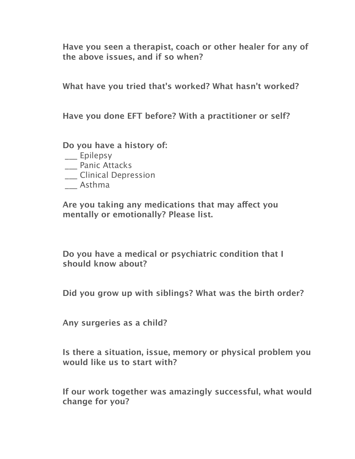**Have you seen a therapist, coach or other healer for any of the above issues, and if so when?**

**What have you tried that's worked? What hasn't worked?**

**Have you done EFT before? With a practitioner or self?**

**Do you have a history of:**

- \_\_\_ Epilepsy
- \_\_\_ Panic Attacks
- \_\_\_ Clinical Depression
- \_\_\_ Asthma

**Are you taking any medications that may afect you mentally or emotionally? Please list.**

**Do you have a medical or psychiatric condition that I should know about?**

**Did you grow up with siblings? What was the birth order?**

**Any surgeries as a child?**

**Is there a situation, issue, memory or physical problem you would like us to start with?**

**If our work together was amazingly successful, what would change for you?**